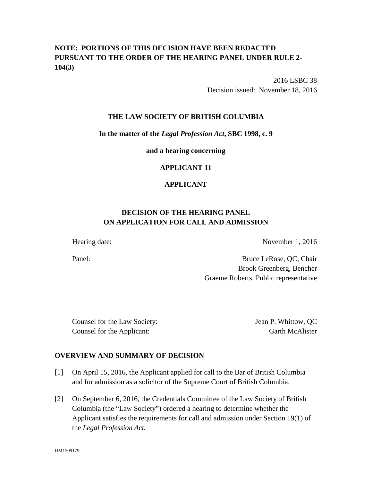# **NOTE: PORTIONS OF THIS DECISION HAVE BEEN REDACTED PURSUANT TO THE ORDER OF THE HEARING PANEL UNDER RULE 2- 104(3)**

2016 LSBC 38 Decision issued: November 18, 2016

## **THE LAW SOCIETY OF BRITISH COLUMBIA**

### **In the matter of the** *Legal Profession Act***, SBC 1998, c. 9**

**and a hearing concerning**

## **APPLICANT 11**

# **APPLICANT**

# **DECISION OF THE HEARING PANEL ON APPLICATION FOR CALL AND ADMISSION**

Hearing date: November 1, 2016

Panel: Bruce LeRose, QC, Chair Brook Greenberg, Bencher Graeme Roberts, Public representative

Counsel for the Law Society: Jean P. Whittow, QC Counsel for the Applicant: Garth McAlister

# **OVERVIEW AND SUMMARY OF DECISION**

- [1] On April 15, 2016, the Applicant applied for call to the Bar of British Columbia and for admission as a solicitor of the Supreme Court of British Columbia.
- [2] On September 6, 2016, the Credentials Committee of the Law Society of British Columbia (the "Law Society") ordered a hearing to determine whether the Applicant satisfies the requirements for call and admission under Section 19(1) of the *Legal Profession Act.*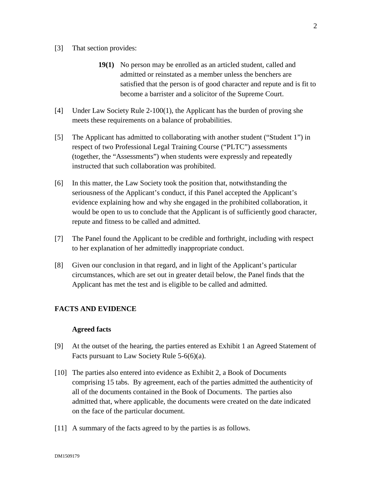#### [3] That section provides:

- **19(1)** No person may be enrolled as an articled student, called and admitted or reinstated as a member unless the benchers are satisfied that the person is of good character and repute and is fit to become a barrister and a solicitor of the Supreme Court.
- [4] Under Law Society Rule 2-100(1), the Applicant has the burden of proving she meets these requirements on a balance of probabilities.
- [5] The Applicant has admitted to collaborating with another student ("Student 1") in respect of two Professional Legal Training Course ("PLTC") assessments (together, the "Assessments") when students were expressly and repeatedly instructed that such collaboration was prohibited.
- [6] In this matter, the Law Society took the position that, notwithstanding the seriousness of the Applicant's conduct, if this Panel accepted the Applicant's evidence explaining how and why she engaged in the prohibited collaboration, it would be open to us to conclude that the Applicant is of sufficiently good character, repute and fitness to be called and admitted.
- [7] The Panel found the Applicant to be credible and forthright, including with respect to her explanation of her admittedly inappropriate conduct.
- [8] Given our conclusion in that regard, and in light of the Applicant's particular circumstances, which are set out in greater detail below, the Panel finds that the Applicant has met the test and is eligible to be called and admitted.

# **FACTS AND EVIDENCE**

#### **Agreed facts**

- [9] At the outset of the hearing, the parties entered as Exhibit 1 an Agreed Statement of Facts pursuant to Law Society Rule 5-6(6)(a).
- [10] The parties also entered into evidence as Exhibit 2, a Book of Documents comprising 15 tabs. By agreement, each of the parties admitted the authenticity of all of the documents contained in the Book of Documents. The parties also admitted that, where applicable, the documents were created on the date indicated on the face of the particular document.
- [11] A summary of the facts agreed to by the parties is as follows.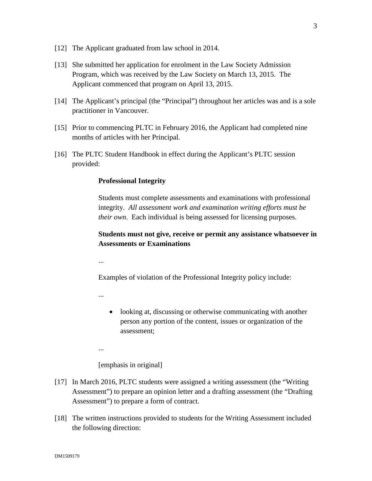- [12] The Applicant graduated from law school in 2014.
- [13] She submitted her application for enrolment in the Law Society Admission Program, which was received by the Law Society on March 13, 2015. The Applicant commenced that program on April 13, 2015.
- [14] The Applicant's principal (the "Principal") throughout her articles was and is a sole practitioner in Vancouver.
- [15] Prior to commencing PLTC in February 2016, the Applicant had completed nine months of articles with her Principal.
- [16] The PLTC Student Handbook in effect during the Applicant's PLTC session provided:

#### **Professional Integrity**

Students must complete assessments and examinations with professional integrity. *All assessment work and examination writing efforts must be their own*. Each individual is being assessed for licensing purposes.

# **Students must not give, receive or permit any assistance whatsoever in Assessments or Examinations**

...

Examples of violation of the Professional Integrity policy include:

...

• looking at, discussing or otherwise communicating with another person any portion of the content, issues or organization of the assessment;

...

[emphasis in original]

- [17] In March 2016, PLTC students were assigned a writing assessment (the "Writing Assessment") to prepare an opinion letter and a drafting assessment (the "Drafting Assessment") to prepare a form of contract.
- [18] The written instructions provided to students for the Writing Assessment included the following direction: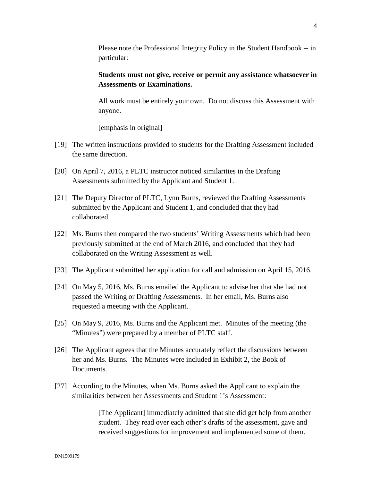Please note the Professional Integrity Policy in the Student Handbook -- in particular:

# **Students must not give, receive or permit any assistance whatsoever in Assessments or Examinations.**

All work must be entirely your own. Do not discuss this Assessment with anyone.

[emphasis in original]

- [19] The written instructions provided to students for the Drafting Assessment included the same direction.
- [20] On April 7, 2016, a PLTC instructor noticed similarities in the Drafting Assessments submitted by the Applicant and Student 1.
- [21] The Deputy Director of PLTC, Lynn Burns, reviewed the Drafting Assessments submitted by the Applicant and Student 1, and concluded that they had collaborated.
- [22] Ms. Burns then compared the two students' Writing Assessments which had been previously submitted at the end of March 2016, and concluded that they had collaborated on the Writing Assessment as well.
- [23] The Applicant submitted her application for call and admission on April 15, 2016.
- [24] On May 5, 2016, Ms. Burns emailed the Applicant to advise her that she had not passed the Writing or Drafting Assessments. In her email, Ms. Burns also requested a meeting with the Applicant.
- [25] On May 9, 2016, Ms. Burns and the Applicant met. Minutes of the meeting (the "Minutes") were prepared by a member of PLTC staff.
- [26] The Applicant agrees that the Minutes accurately reflect the discussions between her and Ms. Burns. The Minutes were included in Exhibit 2, the Book of Documents.
- [27] According to the Minutes, when Ms. Burns asked the Applicant to explain the similarities between her Assessments and Student 1's Assessment:

[The Applicant] immediately admitted that she did get help from another student. They read over each other's drafts of the assessment, gave and received suggestions for improvement and implemented some of them.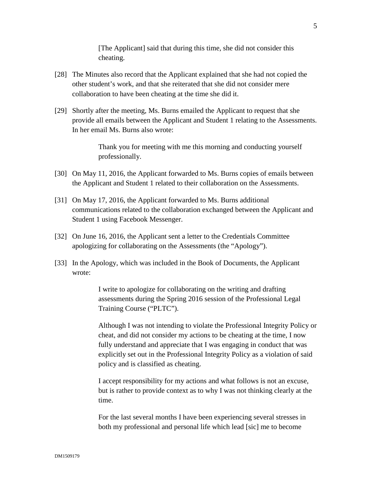[The Applicant] said that during this time, she did not consider this cheating.

- [28] The Minutes also record that the Applicant explained that she had not copied the other student's work, and that she reiterated that she did not consider mere collaboration to have been cheating at the time she did it.
- [29] Shortly after the meeting, Ms. Burns emailed the Applicant to request that she provide all emails between the Applicant and Student 1 relating to the Assessments. In her email Ms. Burns also wrote:

Thank you for meeting with me this morning and conducting yourself professionally.

- [30] On May 11, 2016, the Applicant forwarded to Ms. Burns copies of emails between the Applicant and Student 1 related to their collaboration on the Assessments.
- [31] On May 17, 2016, the Applicant forwarded to Ms. Burns additional communications related to the collaboration exchanged between the Applicant and Student 1 using Facebook Messenger.
- [32] On June 16, 2016, the Applicant sent a letter to the Credentials Committee apologizing for collaborating on the Assessments (the "Apology").
- [33] In the Apology, which was included in the Book of Documents, the Applicant wrote:

I write to apologize for collaborating on the writing and drafting assessments during the Spring 2016 session of the Professional Legal Training Course ("PLTC").

Although I was not intending to violate the Professional Integrity Policy or cheat, and did not consider my actions to be cheating at the time, I now fully understand and appreciate that I was engaging in conduct that was explicitly set out in the Professional Integrity Policy as a violation of said policy and is classified as cheating.

I accept responsibility for my actions and what follows is not an excuse, but is rather to provide context as to why I was not thinking clearly at the time.

For the last several months I have been experiencing several stresses in both my professional and personal life which lead [sic] me to become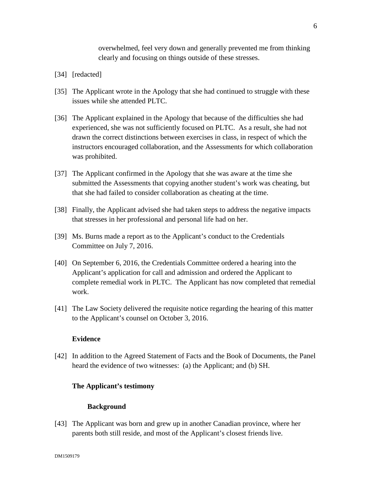overwhelmed, feel very down and generally prevented me from thinking clearly and focusing on things outside of these stresses.

- [34] [redacted]
- [35] The Applicant wrote in the Apology that she had continued to struggle with these issues while she attended PLTC.
- [36] The Applicant explained in the Apology that because of the difficulties she had experienced, she was not sufficiently focused on PLTC. As a result, she had not drawn the correct distinctions between exercises in class, in respect of which the instructors encouraged collaboration, and the Assessments for which collaboration was prohibited.
- [37] The Applicant confirmed in the Apology that she was aware at the time she submitted the Assessments that copying another student's work was cheating, but that she had failed to consider collaboration as cheating at the time.
- [38] Finally, the Applicant advised she had taken steps to address the negative impacts that stresses in her professional and personal life had on her.
- [39] Ms. Burns made a report as to the Applicant's conduct to the Credentials Committee on July 7, 2016.
- [40] On September 6, 2016, the Credentials Committee ordered a hearing into the Applicant's application for call and admission and ordered the Applicant to complete remedial work in PLTC. The Applicant has now completed that remedial work.
- [41] The Law Society delivered the requisite notice regarding the hearing of this matter to the Applicant's counsel on October 3, 2016.

#### **Evidence**

[42] In addition to the Agreed Statement of Facts and the Book of Documents, the Panel heard the evidence of two witnesses: (a) the Applicant; and (b) SH.

#### **The Applicant's testimony**

#### **Background**

[43] The Applicant was born and grew up in another Canadian province, where her parents both still reside, and most of the Applicant's closest friends live.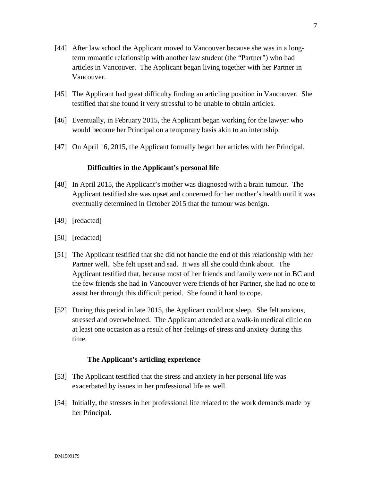- [44] After law school the Applicant moved to Vancouver because she was in a longterm romantic relationship with another law student (the "Partner") who had articles in Vancouver. The Applicant began living together with her Partner in Vancouver.
- [45] The Applicant had great difficulty finding an articling position in Vancouver. She testified that she found it very stressful to be unable to obtain articles.
- [46] Eventually, in February 2015, the Applicant began working for the lawyer who would become her Principal on a temporary basis akin to an internship.
- [47] On April 16, 2015, the Applicant formally began her articles with her Principal.

### **Difficulties in the Applicant's personal life**

- [48] In April 2015, the Applicant's mother was diagnosed with a brain tumour. The Applicant testified she was upset and concerned for her mother's health until it was eventually determined in October 2015 that the tumour was benign.
- [49] [redacted]
- [50] [redacted]
- [51] The Applicant testified that she did not handle the end of this relationship with her Partner well. She felt upset and sad. It was all she could think about. The Applicant testified that, because most of her friends and family were not in BC and the few friends she had in Vancouver were friends of her Partner, she had no one to assist her through this difficult period. She found it hard to cope.
- [52] During this period in late 2015, the Applicant could not sleep. She felt anxious, stressed and overwhelmed. The Applicant attended at a walk-in medical clinic on at least one occasion as a result of her feelings of stress and anxiety during this time.

### **The Applicant's articling experience**

- [53] The Applicant testified that the stress and anxiety in her personal life was exacerbated by issues in her professional life as well.
- [54] Initially, the stresses in her professional life related to the work demands made by her Principal.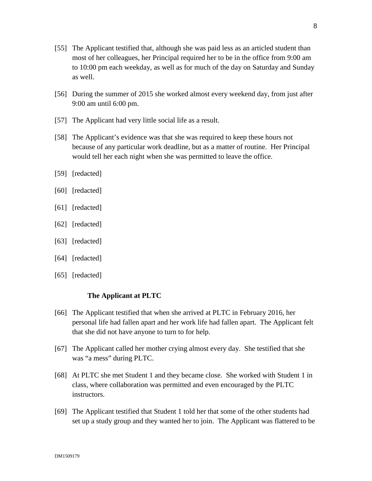- [55] The Applicant testified that, although she was paid less as an articled student than most of her colleagues, her Principal required her to be in the office from 9:00 am to 10:00 pm each weekday, as well as for much of the day on Saturday and Sunday as well.
- [56] During the summer of 2015 she worked almost every weekend day, from just after 9:00 am until 6:00 pm.
- [57] The Applicant had very little social life as a result.
- [58] The Applicant's evidence was that she was required to keep these hours not because of any particular work deadline, but as a matter of routine. Her Principal would tell her each night when she was permitted to leave the office.
- [59] [redacted]
- [60] [redacted]
- [61] [redacted]
- [62] [redacted]
- [63] [redacted]
- [64] [redacted]
- [65] [redacted]

### **The Applicant at PLTC**

- [66] The Applicant testified that when she arrived at PLTC in February 2016, her personal life had fallen apart and her work life had fallen apart. The Applicant felt that she did not have anyone to turn to for help.
- [67] The Applicant called her mother crying almost every day. She testified that she was "a mess" during PLTC.
- [68] At PLTC she met Student 1 and they became close. She worked with Student 1 in class, where collaboration was permitted and even encouraged by the PLTC instructors.
- [69] The Applicant testified that Student 1 told her that some of the other students had set up a study group and they wanted her to join. The Applicant was flattered to be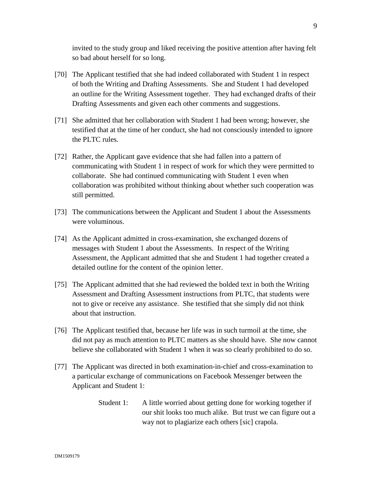invited to the study group and liked receiving the positive attention after having felt so bad about herself for so long.

- [70] The Applicant testified that she had indeed collaborated with Student 1 in respect of both the Writing and Drafting Assessments. She and Student 1 had developed an outline for the Writing Assessment together. They had exchanged drafts of their Drafting Assessments and given each other comments and suggestions.
- [71] She admitted that her collaboration with Student 1 had been wrong; however, she testified that at the time of her conduct, she had not consciously intended to ignore the PLTC rules.
- [72] Rather, the Applicant gave evidence that she had fallen into a pattern of communicating with Student 1 in respect of work for which they were permitted to collaborate. She had continued communicating with Student 1 even when collaboration was prohibited without thinking about whether such cooperation was still permitted.
- [73] The communications between the Applicant and Student 1 about the Assessments were voluminous.
- [74] As the Applicant admitted in cross-examination, she exchanged dozens of messages with Student 1 about the Assessments. In respect of the Writing Assessment, the Applicant admitted that she and Student 1 had together created a detailed outline for the content of the opinion letter.
- [75] The Applicant admitted that she had reviewed the bolded text in both the Writing Assessment and Drafting Assessment instructions from PLTC, that students were not to give or receive any assistance. She testified that she simply did not think about that instruction.
- [76] The Applicant testified that, because her life was in such turmoil at the time, she did not pay as much attention to PLTC matters as she should have. She now cannot believe she collaborated with Student 1 when it was so clearly prohibited to do so.
- [77] The Applicant was directed in both examination-in-chief and cross-examination to a particular exchange of communications on Facebook Messenger between the Applicant and Student 1:
	- Student 1: A little worried about getting done for working together if our shit looks too much alike. But trust we can figure out a way not to plagiarize each others [sic] crapola.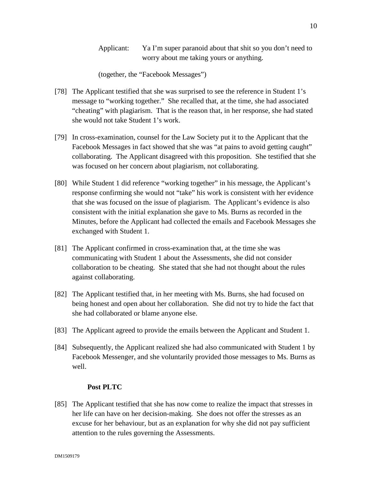10

Applicant: Ya I'm super paranoid about that shit so you don't need to worry about me taking yours or anything.

(together, the "Facebook Messages")

- [78] The Applicant testified that she was surprised to see the reference in Student 1's message to "working together." She recalled that, at the time, she had associated "cheating" with plagiarism. That is the reason that, in her response, she had stated she would not take Student 1's work.
- [79] In cross-examination, counsel for the Law Society put it to the Applicant that the Facebook Messages in fact showed that she was "at pains to avoid getting caught" collaborating. The Applicant disagreed with this proposition. She testified that she was focused on her concern about plagiarism, not collaborating.
- [80] While Student 1 did reference "working together" in his message, the Applicant's response confirming she would not "take" his work is consistent with her evidence that she was focused on the issue of plagiarism. The Applicant's evidence is also consistent with the initial explanation she gave to Ms. Burns as recorded in the Minutes, before the Applicant had collected the emails and Facebook Messages she exchanged with Student 1.
- [81] The Applicant confirmed in cross-examination that, at the time she was communicating with Student 1 about the Assessments, she did not consider collaboration to be cheating. She stated that she had not thought about the rules against collaborating.
- [82] The Applicant testified that, in her meeting with Ms. Burns, she had focused on being honest and open about her collaboration. She did not try to hide the fact that she had collaborated or blame anyone else.
- [83] The Applicant agreed to provide the emails between the Applicant and Student 1.
- [84] Subsequently, the Applicant realized she had also communicated with Student 1 by Facebook Messenger, and she voluntarily provided those messages to Ms. Burns as well.

# **Post PLTC**

[85] The Applicant testified that she has now come to realize the impact that stresses in her life can have on her decision-making. She does not offer the stresses as an excuse for her behaviour, but as an explanation for why she did not pay sufficient attention to the rules governing the Assessments.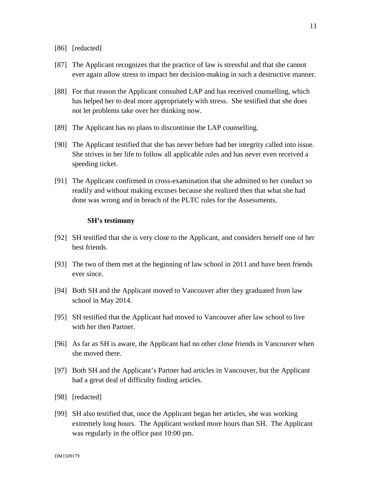- [86] [redacted]
- [87] The Applicant recognizes that the practice of law is stressful and that she cannot ever again allow stress to impact her decision-making in such a destructive manner.
- [88] For that reason the Applicant consulted LAP and has received counselling, which has helped her to deal more appropriately with stress. She testified that she does not let problems take over her thinking now.
- [89] The Applicant has no plans to discontinue the LAP counselling.
- [90] The Applicant testified that she has never before had her integrity called into issue. She strives in her life to follow all applicable rules and has never even received a speeding ticket.
- [91] The Applicant confirmed in cross-examination that she admitted to her conduct so readily and without making excuses because she realized then that what she had done was wrong and in breach of the PLTC rules for the Assessments.

#### **SH's testimony**

- [92] SH testified that she is very close to the Applicant, and considers herself one of her best friends.
- [93] The two of them met at the beginning of law school in 2011 and have been friends ever since.
- [94] Both SH and the Applicant moved to Vancouver after they graduated from law school in May 2014.
- [95] SH testified that the Applicant had moved to Vancouver after law school to live with her then Partner.
- [96] As far as SH is aware, the Applicant had no other close friends in Vancouver when she moved there.
- [97] Both SH and the Applicant's Partner had articles in Vancouver, but the Applicant had a great deal of difficulty finding articles.
- [98] [redacted]
- [99] SH also testified that, once the Applicant began her articles, she was working extremely long hours. The Applicant worked more hours than SH. The Applicant was regularly in the office past 10:00 pm.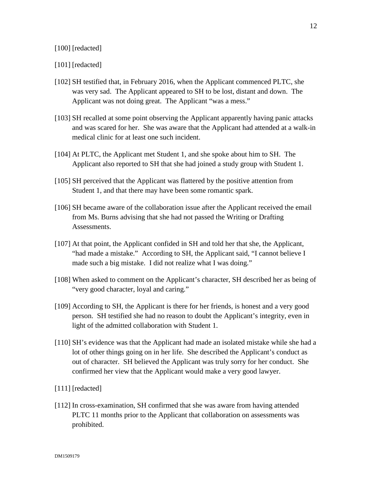### [100] [redacted]

#### [101] [redacted]

- [102] SH testified that, in February 2016, when the Applicant commenced PLTC, she was very sad. The Applicant appeared to SH to be lost, distant and down. The Applicant was not doing great. The Applicant "was a mess."
- [103] SH recalled at some point observing the Applicant apparently having panic attacks and was scared for her. She was aware that the Applicant had attended at a walk-in medical clinic for at least one such incident.
- [104] At PLTC, the Applicant met Student 1, and she spoke about him to SH. The Applicant also reported to SH that she had joined a study group with Student 1.
- [105] SH perceived that the Applicant was flattered by the positive attention from Student 1, and that there may have been some romantic spark.
- [106] SH became aware of the collaboration issue after the Applicant received the email from Ms. Burns advising that she had not passed the Writing or Drafting Assessments.
- [107] At that point, the Applicant confided in SH and told her that she, the Applicant, "had made a mistake." According to SH, the Applicant said, "I cannot believe I made such a big mistake. I did not realize what I was doing."
- [108] When asked to comment on the Applicant's character, SH described her as being of "very good character, loyal and caring."
- [109] According to SH, the Applicant is there for her friends, is honest and a very good person. SH testified she had no reason to doubt the Applicant's integrity, even in light of the admitted collaboration with Student 1.
- [110] SH's evidence was that the Applicant had made an isolated mistake while she had a lot of other things going on in her life. She described the Applicant's conduct as out of character. SH believed the Applicant was truly sorry for her conduct. She confirmed her view that the Applicant would make a very good lawyer.
- [111] [redacted]
- [112] In cross-examination, SH confirmed that she was aware from having attended PLTC 11 months prior to the Applicant that collaboration on assessments was prohibited.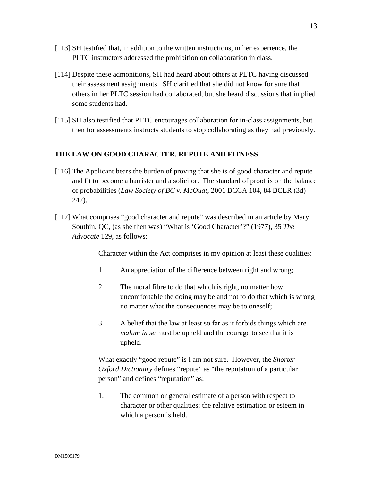- [113] SH testified that, in addition to the written instructions, in her experience, the PLTC instructors addressed the prohibition on collaboration in class.
- [114] Despite these admonitions, SH had heard about others at PLTC having discussed their assessment assignments. SH clarified that she did not know for sure that others in her PLTC session had collaborated, but she heard discussions that implied some students had.
- [115] SH also testified that PLTC encourages collaboration for in-class assignments, but then for assessments instructs students to stop collaborating as they had previously.

## **THE LAW ON GOOD CHARACTER, REPUTE AND FITNESS**

- [116] The Applicant bears the burden of proving that she is of good character and repute and fit to become a barrister and a solicitor. The standard of proof is on the balance of probabilities (*Law Society of BC v. McOuat*, 2001 BCCA 104, 84 BCLR (3d) 242).
- [117] What comprises "good character and repute" was described in an article by Mary Southin, QC, (as she then was) "What is 'Good Character'?" (1977), 35 *The Advocate* 129, as follows:

Character within the Act comprises in my opinion at least these qualities:

- 1. An appreciation of the difference between right and wrong;
- 2. The moral fibre to do that which is right, no matter how uncomfortable the doing may be and not to do that which is wrong no matter what the consequences may be to oneself;
- 3. A belief that the law at least so far as it forbids things which are *malum in se* must be upheld and the courage to see that it is upheld.

What exactly "good repute" is I am not sure. However, the *Shorter Oxford Dictionary* defines "repute" as "the reputation of a particular person" and defines "reputation" as:

1. The common or general estimate of a person with respect to character or other qualities; the relative estimation or esteem in which a person is held.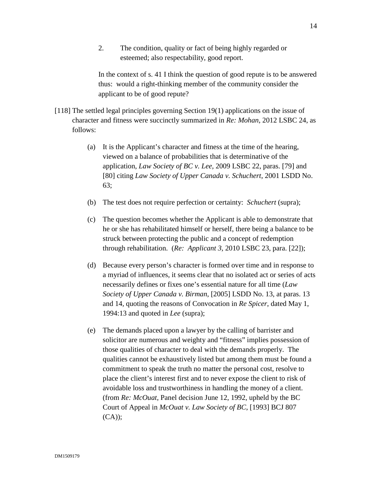2. The condition, quality or fact of being highly regarded or esteemed; also respectability, good report.

In the context of s. 41 I think the question of good repute is to be answered thus: would a right-thinking member of the community consider the applicant to be of good repute?

- [118] The settled legal principles governing Section 19(1) applications on the issue of character and fitness were succinctly summarized in *Re: Mohan*, 2012 LSBC 24, as follows:
	- (a) It is the Applicant's character and fitness at the time of the hearing, viewed on a balance of probabilities that is determinative of the application, *Law Society of BC v. Lee,* 2009 LSBC 22, paras. [79] and [80] citing *Law Society of Upper Canada v. Schuchert*, 2001 LSDD No. 63;
	- (b) The test does not require perfection or certainty: *Schuchert* (supra);
	- (c) The question becomes whether the Applicant is able to demonstrate that he or she has rehabilitated himself or herself, there being a balance to be struck between protecting the public and a concept of redemption through rehabilitation. (*Re: Applicant 3,* 2010 LSBC 23, para. [22]);
	- (d) Because every person's character is formed over time and in response to a myriad of influences, it seems clear that no isolated act or series of acts necessarily defines or fixes one's essential nature for all time (*Law Society of Upper Canada v. Birman*, [2005] LSDD No. 13, at paras. 13 and 14, quoting the reasons of Convocation in *Re Spicer*, dated May 1, 1994:13 and quoted in *Lee* (supra);
	- (e) The demands placed upon a lawyer by the calling of barrister and solicitor are numerous and weighty and "fitness" implies possession of those qualities of character to deal with the demands properly. The qualities cannot be exhaustively listed but among them must be found a commitment to speak the truth no matter the personal cost, resolve to place the client's interest first and to never expose the client to risk of avoidable loss and trustworthiness in handling the money of a client. (from *Re: McOuat*, Panel decision June 12, 1992, upheld by the BC Court of Appeal in *McOuat v. Law Society of BC*, [1993] BCJ 807 (CA));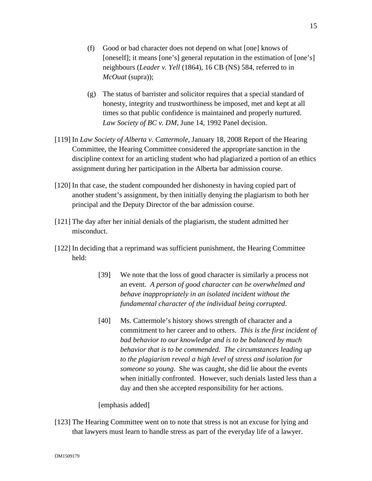- (f) Good or bad character does not depend on what [one] knows of [oneself]; it means [one's] general reputation in the estimation of [one's] neighbours (*Leader v. Yell* (1864), 16 CB (NS) 584, referred to in *McOuat* (supra));
- (g) The status of barrister and solicitor requires that a special standard of honesty, integrity and trustworthiness be imposed, met and kept at all times so that public confidence is maintained and properly nurtured. *Law Society of BC v. DM*, June 14, 1992 Panel decision.
- [119] In *Law Society of Alberta v. Cattermole*, January 18, 2008 Report of the Hearing Committee, the Hearing Committee considered the appropriate sanction in the discipline context for an articling student who had plagiarized a portion of an ethics assignment during her participation in the Alberta bar admission course.
- [120] In that case, the student compounded her dishonesty in having copied part of another student's assignment, by then initially denying the plagiarism to both her principal and the Deputy Director of the bar admission course.
- [121] The day after her initial denials of the plagiarism, the student admitted her misconduct.
- [122] In deciding that a reprimand was sufficient punishment, the Hearing Committee held:
	- [39] We note that the loss of good character is similarly a process not an event. *A person of good character can be overwhelmed and behave inappropriately in an isolated incident without the fundamental character of the individual being corrupted*.
	- [40] Ms. Cattermole's history shows strength of character and a commitment to her career and to others. *This is the first incident of bad behavior to our knowledge and is to be balanced by much behavior that is to be commended. The circumstances leading up to the plagiarism reveal a high level of stress and isolation for someone so young*. She was caught, she did lie about the events when initially confronted. However, such denials lasted less than a day and then she accepted responsibility for her actions.

[emphasis added]

[123] The Hearing Committee went on to note that stress is not an excuse for lying and that lawyers must learn to handle stress as part of the everyday life of a lawyer.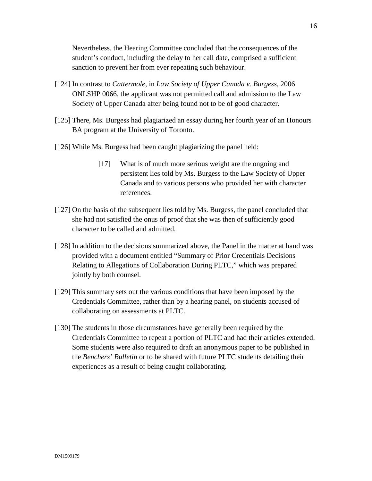Nevertheless, the Hearing Committee concluded that the consequences of the student's conduct, including the delay to her call date, comprised a sufficient sanction to prevent her from ever repeating such behaviour.

- [124] In contrast to *Cattermole,* in *Law Society of Upper Canada v. Burgess*, 2006 ONLSHP 0066, the applicant was not permitted call and admission to the Law Society of Upper Canada after being found not to be of good character.
- [125] There, Ms. Burgess had plagiarized an essay during her fourth year of an Honours BA program at the University of Toronto.
- [126] While Ms. Burgess had been caught plagiarizing the panel held:
	- [17] What is of much more serious weight are the ongoing and persistent lies told by Ms. Burgess to the Law Society of Upper Canada and to various persons who provided her with character references.
- [127] On the basis of the subsequent lies told by Ms. Burgess, the panel concluded that she had not satisfied the onus of proof that she was then of sufficiently good character to be called and admitted.
- [128] In addition to the decisions summarized above, the Panel in the matter at hand was provided with a document entitled "Summary of Prior Credentials Decisions Relating to Allegations of Collaboration During PLTC," which was prepared jointly by both counsel.
- [129] This summary sets out the various conditions that have been imposed by the Credentials Committee, rather than by a hearing panel, on students accused of collaborating on assessments at PLTC.
- [130] The students in those circumstances have generally been required by the Credentials Committee to repeat a portion of PLTC and had their articles extended. Some students were also required to draft an anonymous paper to be published in the *Benchers' Bulletin* or to be shared with future PLTC students detailing their experiences as a result of being caught collaborating.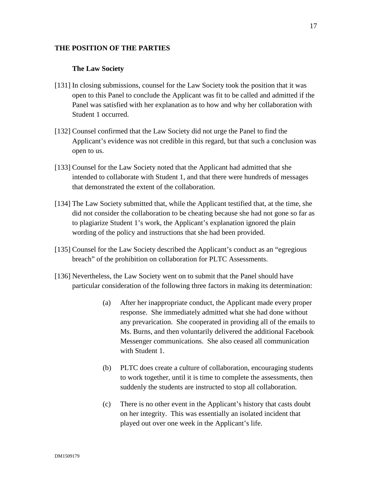### **THE POSITION OF THE PARTIES**

## **The Law Society**

- [131] In closing submissions, counsel for the Law Society took the position that it was open to this Panel to conclude the Applicant was fit to be called and admitted if the Panel was satisfied with her explanation as to how and why her collaboration with Student 1 occurred.
- [132] Counsel confirmed that the Law Society did not urge the Panel to find the Applicant's evidence was not credible in this regard, but that such a conclusion was open to us.
- [133] Counsel for the Law Society noted that the Applicant had admitted that she intended to collaborate with Student 1, and that there were hundreds of messages that demonstrated the extent of the collaboration.
- [134] The Law Society submitted that, while the Applicant testified that, at the time, she did not consider the collaboration to be cheating because she had not gone so far as to plagiarize Student 1's work, the Applicant's explanation ignored the plain wording of the policy and instructions that she had been provided.
- [135] Counsel for the Law Society described the Applicant's conduct as an "egregious breach" of the prohibition on collaboration for PLTC Assessments.
- [136] Nevertheless, the Law Society went on to submit that the Panel should have particular consideration of the following three factors in making its determination:
	- (a) After her inappropriate conduct, the Applicant made every proper response. She immediately admitted what she had done without any prevarication. She cooperated in providing all of the emails to Ms. Burns, and then voluntarily delivered the additional Facebook Messenger communications. She also ceased all communication with Student 1.
	- (b) PLTC does create a culture of collaboration, encouraging students to work together, until it is time to complete the assessments, then suddenly the students are instructed to stop all collaboration.
	- (c) There is no other event in the Applicant's history that casts doubt on her integrity. This was essentially an isolated incident that played out over one week in the Applicant's life.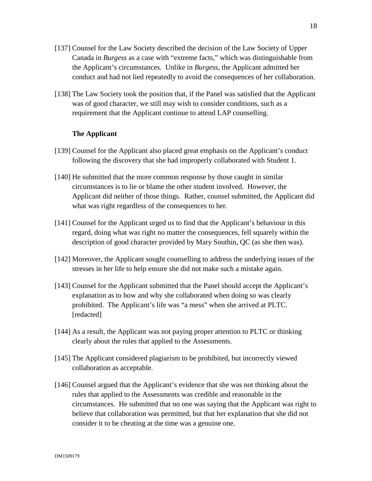- [137] Counsel for the Law Society described the decision of the Law Society of Upper Canada in *Burgess* as a case with "extreme facts," which was distinguishable from the Applicant's circumstances. Unlike in *Burgess*, the Applicant admitted her conduct and had not lied repeatedly to avoid the consequences of her collaboration.
- [138] The Law Society took the position that, if the Panel was satisfied that the Applicant was of good character, we still may wish to consider conditions, such as a requirement that the Applicant continue to attend LAP counselling.

### **The Applicant**

- [139] Counsel for the Applicant also placed great emphasis on the Applicant's conduct following the discovery that she had improperly collaborated with Student 1.
- [140] He submitted that the more common response by those caught in similar circumstances is to lie or blame the other student involved. However, the Applicant did neither of those things. Rather, counsel submitted, the Applicant did what was right regardless of the consequences to her.
- [141] Counsel for the Applicant urged us to find that the Applicant's behaviour in this regard, doing what was right no matter the consequences, fell squarely within the description of good character provided by Mary Southin, QC (as she then was).
- [142] Moreover, the Applicant sought counselling to address the underlying issues of the stresses in her life to help ensure she did not make such a mistake again.
- [143] Counsel for the Applicant submitted that the Panel should accept the Applicant's explanation as to how and why she collaborated when doing so was clearly prohibited. The Applicant's life was "a mess" when she arrived at PLTC. [redacted]
- [144] As a result, the Applicant was not paying proper attention to PLTC or thinking clearly about the rules that applied to the Assessments.
- [145] The Applicant considered plagiarism to be prohibited, but incorrectly viewed collaboration as acceptable.
- [146] Counsel argued that the Applicant's evidence that she was not thinking about the rules that applied to the Assessments was credible and reasonable in the circumstances. He submitted that no one was saying that the Applicant was right to believe that collaboration was permitted, but that her explanation that she did not consider it to be cheating at the time was a genuine one.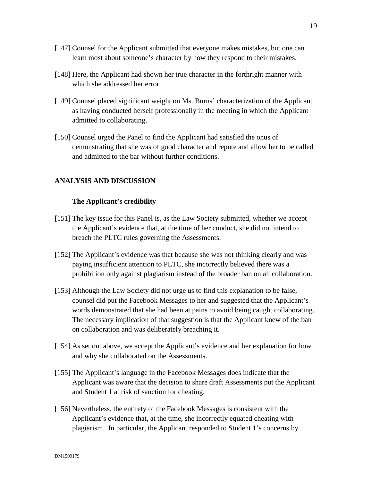- [147] Counsel for the Applicant submitted that everyone makes mistakes, but one can learn most about someone's character by how they respond to their mistakes.
- [148] Here, the Applicant had shown her true character in the forthright manner with which she addressed her error.
- [149] Counsel placed significant weight on Ms. Burns' characterization of the Applicant as having conducted herself professionally in the meeting in which the Applicant admitted to collaborating.
- [150] Counsel urged the Panel to find the Applicant had satisfied the onus of demonstrating that she was of good character and repute and allow her to be called and admitted to the bar without further conditions.

# **ANALYSIS AND DISCUSSION**

#### **The Applicant's credibility**

- [151] The key issue for this Panel is, as the Law Society submitted, whether we accept the Applicant's evidence that, at the time of her conduct, she did not intend to breach the PLTC rules governing the Assessments.
- [152] The Applicant's evidence was that because she was not thinking clearly and was paying insufficient attention to PLTC, she incorrectly believed there was a prohibition only against plagiarism instead of the broader ban on all collaboration.
- [153] Although the Law Society did not urge us to find this explanation to be false, counsel did put the Facebook Messages to her and suggested that the Applicant's words demonstrated that she had been at pains to avoid being caught collaborating. The necessary implication of that suggestion is that the Applicant knew of the ban on collaboration and was deliberately breaching it.
- [154] As set out above, we accept the Applicant's evidence and her explanation for how and why she collaborated on the Assessments.
- [155] The Applicant's language in the Facebook Messages does indicate that the Applicant was aware that the decision to share draft Assessments put the Applicant and Student 1 at risk of sanction for cheating.
- [156] Nevertheless, the entirety of the Facebook Messages is consistent with the Applicant's evidence that, at the time, she incorrectly equated cheating with plagiarism. In particular, the Applicant responded to Student 1's concerns by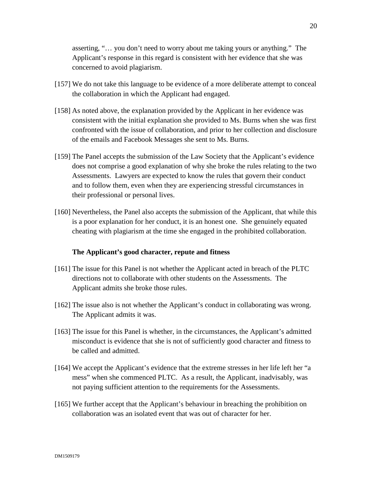asserting, "… you don't need to worry about me taking yours or anything." The Applicant's response in this regard is consistent with her evidence that she was concerned to avoid plagiarism.

- [157] We do not take this language to be evidence of a more deliberate attempt to conceal the collaboration in which the Applicant had engaged.
- [158] As noted above, the explanation provided by the Applicant in her evidence was consistent with the initial explanation she provided to Ms. Burns when she was first confronted with the issue of collaboration, and prior to her collection and disclosure of the emails and Facebook Messages she sent to Ms. Burns.
- [159] The Panel accepts the submission of the Law Society that the Applicant's evidence does not comprise a good explanation of why she broke the rules relating to the two Assessments. Lawyers are expected to know the rules that govern their conduct and to follow them, even when they are experiencing stressful circumstances in their professional or personal lives.
- [160] Nevertheless, the Panel also accepts the submission of the Applicant, that while this is a poor explanation for her conduct, it is an honest one. She genuinely equated cheating with plagiarism at the time she engaged in the prohibited collaboration.

### **The Applicant's good character, repute and fitness**

- [161] The issue for this Panel is not whether the Applicant acted in breach of the PLTC directions not to collaborate with other students on the Assessments. The Applicant admits she broke those rules.
- [162] The issue also is not whether the Applicant's conduct in collaborating was wrong. The Applicant admits it was.
- [163] The issue for this Panel is whether, in the circumstances, the Applicant's admitted misconduct is evidence that she is not of sufficiently good character and fitness to be called and admitted.
- [164] We accept the Applicant's evidence that the extreme stresses in her life left her "a mess" when she commenced PLTC. As a result, the Applicant, inadvisably, was not paying sufficient attention to the requirements for the Assessments.
- [165] We further accept that the Applicant's behaviour in breaching the prohibition on collaboration was an isolated event that was out of character for her.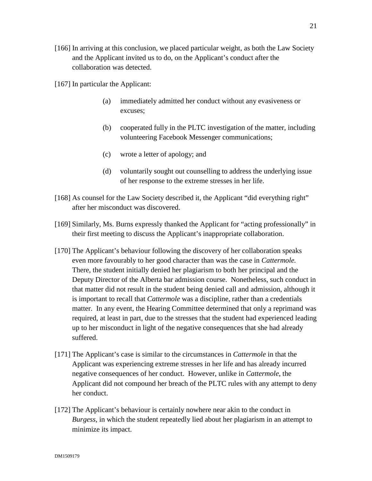- [166] In arriving at this conclusion, we placed particular weight, as both the Law Society and the Applicant invited us to do, on the Applicant's conduct after the collaboration was detected.
- [167] In particular the Applicant:
	- (a) immediately admitted her conduct without any evasiveness or excuses;
	- (b) cooperated fully in the PLTC investigation of the matter, including volunteering Facebook Messenger communications;
	- (c) wrote a letter of apology; and
	- (d) voluntarily sought out counselling to address the underlying issue of her response to the extreme stresses in her life.
- [168] As counsel for the Law Society described it, the Applicant "did everything right" after her misconduct was discovered.
- [169] Similarly, Ms. Burns expressly thanked the Applicant for "acting professionally" in their first meeting to discuss the Applicant's inappropriate collaboration.
- [170] The Applicant's behaviour following the discovery of her collaboration speaks even more favourably to her good character than was the case in *Cattermole.*  There, the student initially denied her plagiarism to both her principal and the Deputy Director of the Alberta bar admission course. Nonetheless, such conduct in that matter did not result in the student being denied call and admission, although it is important to recall that *Cattermole* was a discipline, rather than a credentials matter. In any event, the Hearing Committee determined that only a reprimand was required, at least in part, due to the stresses that the student had experienced leading up to her misconduct in light of the negative consequences that she had already suffered.
- [171] The Applicant's case is similar to the circumstances in *Cattermole* in that the Applicant was experiencing extreme stresses in her life and has already incurred negative consequences of her conduct. However, unlike in *Cattermole*, the Applicant did not compound her breach of the PLTC rules with any attempt to deny her conduct.
- [172] The Applicant's behaviour is certainly nowhere near akin to the conduct in *Burgess,* in which the student repeatedly lied about her plagiarism in an attempt to minimize its impact.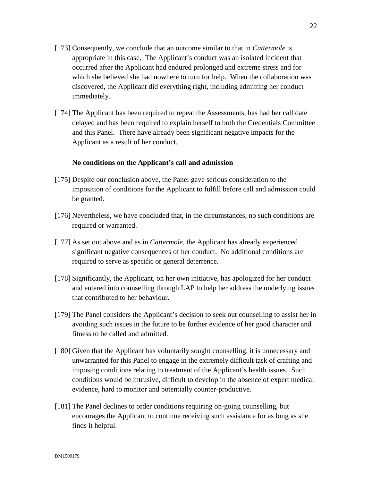22

- [173] Consequently, we conclude that an outcome similar to that in *Cattermole* is appropriate in this case. The Applicant's conduct was an isolated incident that occurred after the Applicant had endured prolonged and extreme stress and for which she believed she had nowhere to turn for help. When the collaboration was discovered, the Applicant did everything right, including admitting her conduct immediately.
- [174] The Applicant has been required to repeat the Assessments, has had her call date delayed and has been required to explain herself to both the Credentials Committee and this Panel. There have already been significant negative impacts for the Applicant as a result of her conduct.

### **No conditions on the Applicant's call and admission**

- [175] Despite our conclusion above, the Panel gave serious consideration to the imposition of conditions for the Applicant to fulfill before call and admission could be granted.
- [176] Nevertheless, we have concluded that, in the circumstances, no such conditions are required or warranted.
- [177] As set out above and as in *Cattermole*, the Applicant has already experienced significant negative consequences of her conduct. No additional conditions are required to serve as specific or general deterrence.
- [178] Significantly, the Applicant, on her own initiative, has apologized for her conduct and entered into counselling through LAP to help her address the underlying issues that contributed to her behaviour.
- [179] The Panel considers the Applicant's decision to seek out counselling to assist her in avoiding such issues in the future to be further evidence of her good character and fitness to be called and admitted.
- [180] Given that the Applicant has voluntarily sought counselling, it is unnecessary and unwarranted for this Panel to engage in the extremely difficult task of crafting and imposing conditions relating to treatment of the Applicant's health issues. Such conditions would be intrusive, difficult to develop in the absence of expert medical evidence, hard to monitor and potentially counter-productive.
- [181] The Panel declines to order conditions requiring on-going counselling, but encourages the Applicant to continue receiving such assistance for as long as she finds it helpful.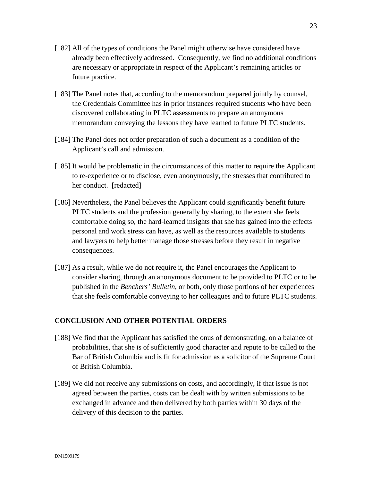- [182] All of the types of conditions the Panel might otherwise have considered have already been effectively addressed. Consequently, we find no additional conditions are necessary or appropriate in respect of the Applicant's remaining articles or future practice.
- [183] The Panel notes that, according to the memorandum prepared jointly by counsel, the Credentials Committee has in prior instances required students who have been discovered collaborating in PLTC assessments to prepare an anonymous memorandum conveying the lessons they have learned to future PLTC students.
- [184] The Panel does not order preparation of such a document as a condition of the Applicant's call and admission.
- [185] It would be problematic in the circumstances of this matter to require the Applicant to re-experience or to disclose, even anonymously, the stresses that contributed to her conduct. [redacted]
- [186] Nevertheless, the Panel believes the Applicant could significantly benefit future PLTC students and the profession generally by sharing, to the extent she feels comfortable doing so, the hard-learned insights that she has gained into the effects personal and work stress can have, as well as the resources available to students and lawyers to help better manage those stresses before they result in negative consequences.
- [187] As a result, while we do not require it, the Panel encourages the Applicant to consider sharing, through an anonymous document to be provided to PLTC or to be published in the *Benchers' Bulletin*, or both, only those portions of her experiences that she feels comfortable conveying to her colleagues and to future PLTC students.

# **CONCLUSION AND OTHER POTENTIAL ORDERS**

- [188] We find that the Applicant has satisfied the onus of demonstrating, on a balance of probabilities, that she is of sufficiently good character and repute to be called to the Bar of British Columbia and is fit for admission as a solicitor of the Supreme Court of British Columbia.
- [189] We did not receive any submissions on costs, and accordingly, if that issue is not agreed between the parties, costs can be dealt with by written submissions to be exchanged in advance and then delivered by both parties within 30 days of the delivery of this decision to the parties.